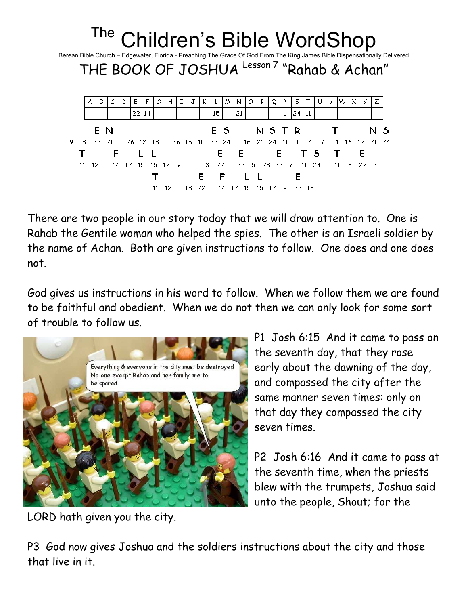

There are two people in our story today that we will draw attention to. One is Rahab the Gentile woman who helped the spies. The other is an Israeli soldier by the name of Achan. Both are given instructions to follow. One does and one does not.

God gives us instructions in his word to follow. When we follow them we are found to be faithful and obedient. When we do not then we can only look for some sort of trouble to follow us.



LORD hath given you the city.

P1 Josh 6:15 And it came to pass on the seventh day, that they rose early about the dawning of the day, and compassed the city after the same manner seven times: only on that day they compassed the city seven times.

P2 Josh 6:16 And it came to pass at the seventh time, when the priests blew with the trumpets, Joshua said unto the people, Shout; for the

P3 God now gives Joshua and the soldiers instructions about the city and those that live in it.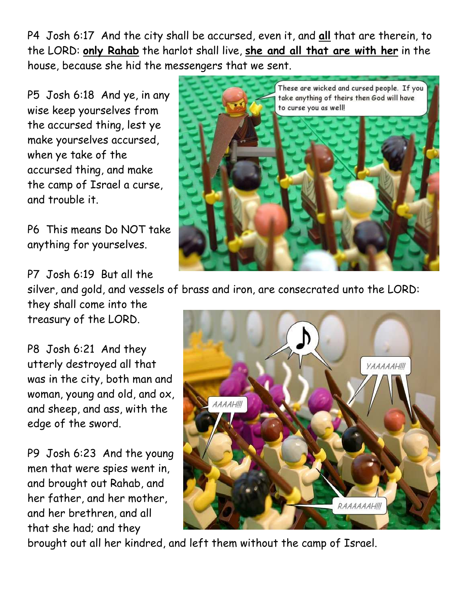P4 Josh 6:17 And the city shall be accursed, even it, and all that are therein, to the LORD: only Rahab the harlot shall live, she and all that are with her in the house, because she hid the messengers that we sent.

P5 Josh 6:18 And ye, in any wise keep yourselves from the accursed thing, lest ye make yourselves accursed, when ye take of the accursed thing, and make the camp of Israel a curse, and trouble it.

P6 This means Do NOT take anything for yourselves.

P7 Josh 6:19 But all the

silver, and gold, and vessels of brass and iron, are consecrated unto the LORD:

they shall come into the treasury of the LORD.

P8 Josh 6:21 And they utterly destroyed all that was in the city, both man and woman, young and old, and ox, and sheep, and ass, with the edge of the sword.

P9 Josh 6:23 And the young men that were spies went in, and brought out Rahab, and her father, and her mother, and her brethren, and all that she had; and they

brought out all her kindred, and left them without the camp of Israel.



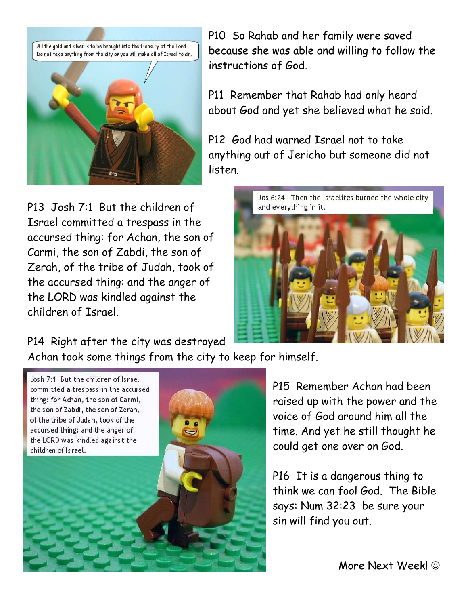

P13 Josh 7:1 But the children of Israel committed a trespass in the accursed thing: for Achan, the son of Carmi, the son of Zabdi, the son of Zerah, of the tribe of Judah, took of the accursed thing: and the anger of the LORD was kindled against the children of Israel.

P14 Right after the city was destroyed

P10 So Rahab and her family were saved because she was able and willing to follow the instructions of God.

P11 Remember that Rahab had only heard about God and yet she believed what he said.

P12 God had warned Israel not to take anything out of Jericho but someone did not listen.



Achan took some things from the city to keep for himself.



P15 Remember Achan had been raised up with the power and the voice of God around him all the time. And yet he still thought he could get one over on God.

P16 It is a dangerous thing to think we can fool God. The Bible says: Num 32:23 be sure your sin will find you out.

More Next Week!  $©$